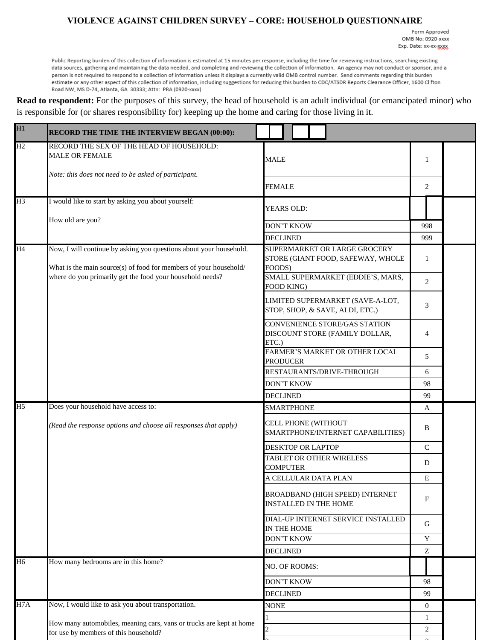## **VIOLENCE AGAINST CHILDREN SURVEY – CORE: HOUSEHOLD QUESTIONNAIRE**

Form Approved OMB No: 0920-xxxx Exp. Date: xx-xx-xxxxx

Public Reporting burden of this collection of information is estimated at 15 minutes per response, including the time for reviewing instructions, searching existing data sources, gathering and maintaining the data needed, and completing and reviewing the collection of information. An agency may not conduct or sponsor, and a person is not required to respond to a collection of information unless it displays a currently valid OMB control number. Send comments regarding this burden estimate or any other aspect of this collection of information, including suggestions for reducing this burden to CDC/ATSDR Reports Clearance Officer, 1600 Clifton Road NW, MS D-74, Atlanta, GA 30333; Attn: PRA (0920-xxxx)

**Read to respondent:** For the purposes of this survey, the head of household is an adult individual (or emancipated minor) who is responsible for (or shares responsibility for) keeping up the home and caring for those living in it.

| H1             | RECORD THE TIME THE INTERVIEW BEGAN (00:00):                                                                                            |                                                                             |                |  |
|----------------|-----------------------------------------------------------------------------------------------------------------------------------------|-----------------------------------------------------------------------------|----------------|--|
| H2             | RECORD THE SEX OF THE HEAD OF HOUSEHOLD:<br><b>MALE OR FEMALE</b><br>Note: this does not need to be asked of participant.               | <b>MALE</b>                                                                 | 1              |  |
|                |                                                                                                                                         | <b>FEMALE</b>                                                               | 2              |  |
| H <sub>3</sub> | I would like to start by asking you about yourself:                                                                                     | YEARS OLD:                                                                  |                |  |
|                | How old are you?                                                                                                                        | <b>DON'T KNOW</b>                                                           | 998            |  |
|                |                                                                                                                                         | <b>DECLINED</b>                                                             | 999            |  |
| H4             | Now, I will continue by asking you questions about your household.<br>What is the main source(s) of food for members of your household/ | SUPERMARKET OR LARGE GROCERY<br>STORE (GIANT FOOD, SAFEWAY, WHOLE<br>FOODS) | $\mathbf{1}$   |  |
|                | where do you primarily get the food your household needs?                                                                               | SMALL SUPERMARKET (EDDIE'S, MARS,<br>FOOD KING)                             | 2              |  |
|                |                                                                                                                                         | LIMITED SUPERMARKET (SAVE-A-LOT,<br>STOP, SHOP, & SAVE, ALDI, ETC.)         | 3              |  |
|                |                                                                                                                                         | CONVENIENCE STORE/GAS STATION<br>DISCOUNT STORE (FAMILY DOLLAR,<br>ETC.)    | $\overline{4}$ |  |
|                |                                                                                                                                         | FARMER'S MARKET OR OTHER LOCAL<br><b>PRODUCER</b>                           | 5              |  |
|                |                                                                                                                                         | RESTAURANTS/DRIVE-THROUGH                                                   | 6              |  |
|                |                                                                                                                                         | DON'T KNOW                                                                  | 98             |  |
|                |                                                                                                                                         | <b>DECLINED</b>                                                             | 99             |  |
| H <sub>5</sub> | Does your household have access to:                                                                                                     | <b>SMARTPHONE</b>                                                           | A              |  |
|                | (Read the response options and choose all responses that apply)                                                                         | CELL PHONE (WITHOUT<br>SMARTPHONE/INTERNET CAPABILITIES)                    | B              |  |
|                |                                                                                                                                         | <b>DESKTOP OR LAPTOP</b>                                                    | $\mathcal{C}$  |  |
|                |                                                                                                                                         | TABLET OR OTHER WIRELESS<br><b>COMPUTER</b>                                 | D              |  |
|                |                                                                                                                                         | A CELLULAR DATA PLAN                                                        | E              |  |
|                |                                                                                                                                         | BROADBAND (HIGH SPEED) INTERNET<br><b>INSTALLED IN THE HOME</b>             | $\mathbf F$    |  |
|                |                                                                                                                                         | DIAL-UP INTERNET SERVICE INSTALLED<br>IN THE HOME                           | G              |  |
|                |                                                                                                                                         | <b>DON'T KNOW</b>                                                           | Y              |  |
|                |                                                                                                                                         | <b>DECLINED</b>                                                             | Z              |  |
| H <sub>6</sub> | How many bedrooms are in this home?                                                                                                     | NO. OF ROOMS:                                                               |                |  |
|                |                                                                                                                                         | <b>DON'T KNOW</b>                                                           | 98             |  |
|                |                                                                                                                                         | <b>DECLINED</b>                                                             | 99             |  |
| H7A            | Now, I would like to ask you about transportation.                                                                                      | <b>NONE</b>                                                                 | $\overline{0}$ |  |
|                | How many automobiles, meaning cars, vans or trucks are kept at home                                                                     |                                                                             | 1              |  |
|                | for use by members of this household?                                                                                                   |                                                                             | $\overline{2}$ |  |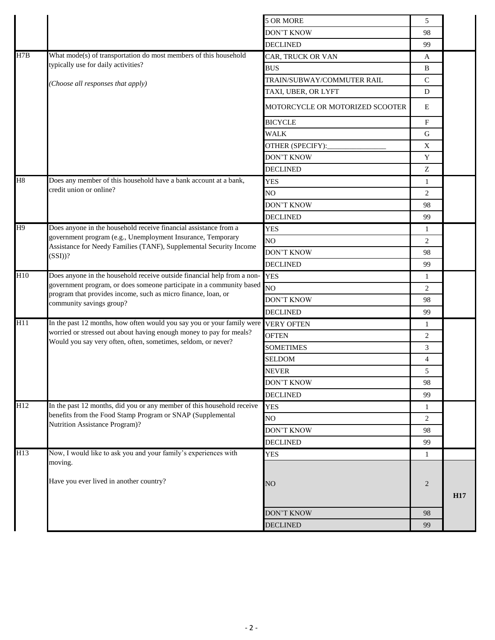|     |                                                                                                                                   | 5 OR MORE                       | 5              |                 |
|-----|-----------------------------------------------------------------------------------------------------------------------------------|---------------------------------|----------------|-----------------|
|     |                                                                                                                                   | <b>DON'T KNOW</b>               | 98             |                 |
|     |                                                                                                                                   | <b>DECLINED</b>                 | 99             |                 |
| H7B | What mode(s) of transportation do most members of this household                                                                  | CAR, TRUCK OR VAN               | A              |                 |
|     | typically use for daily activities?                                                                                               | <b>BUS</b>                      | $\, {\bf B}$   |                 |
|     | (Choose all responses that apply)                                                                                                 | TRAIN/SUBWAY/COMMUTER RAIL      | $\mathbf C$    |                 |
|     |                                                                                                                                   | TAXI, UBER, OR LYFT             | D              |                 |
|     |                                                                                                                                   | MOTORCYCLE OR MOTORIZED SCOOTER | E              |                 |
|     |                                                                                                                                   | <b>BICYCLE</b>                  | F              |                 |
|     |                                                                                                                                   | <b>WALK</b>                     | G              |                 |
|     |                                                                                                                                   | OTHER (SPECIFY):                | X              |                 |
|     |                                                                                                                                   | <b>DON'T KNOW</b>               | $\mathbf Y$    |                 |
|     |                                                                                                                                   | <b>DECLINED</b>                 | Z              |                 |
| H8  | Does any member of this household have a bank account at a bank,                                                                  | <b>YES</b>                      | $\mathbf{1}$   |                 |
|     | credit union or online?                                                                                                           | NO                              | 2              |                 |
|     |                                                                                                                                   | DON'T KNOW                      | 98             |                 |
|     |                                                                                                                                   | <b>DECLINED</b>                 | 99             |                 |
| H9  | Does anyone in the household receive financial assistance from a                                                                  | <b>YES</b>                      | 1              |                 |
|     | government program (e.g., Unemployment Insurance, Temporary<br>Assistance for Needy Families (TANF), Supplemental Security Income | N <sub>O</sub>                  | 2              |                 |
|     | $(SSI)$ ?                                                                                                                         | <b>DON'T KNOW</b>               | 98             |                 |
|     |                                                                                                                                   | <b>DECLINED</b>                 | 99             |                 |
| H10 | Does anyone in the household receive outside financial help from a non-YES                                                        |                                 | 1              |                 |
|     | government program, or does someone participate in a community based                                                              | N <sub>O</sub>                  | 2              |                 |
|     | program that provides income, such as micro finance, loan, or<br>community savings group?                                         | DON'T KNOW                      | 98             |                 |
|     |                                                                                                                                   | <b>DECLINED</b>                 | 99             |                 |
| H11 | In the past 12 months, how often would you say you or your family were VERY OFTEN                                                 |                                 | 1              |                 |
|     | worried or stressed out about having enough money to pay for meals?                                                               | <b>OFTEN</b>                    | 2              |                 |
|     | Would you say very often, often, sometimes, seldom, or never?                                                                     | <b>SOMETIMES</b>                | 3              |                 |
|     |                                                                                                                                   | SELDOM                          | $\overline{4}$ |                 |
|     |                                                                                                                                   | <b>NEVER</b>                    | 5              |                 |
|     |                                                                                                                                   | <b>DON'T KNOW</b>               | 98             |                 |
|     |                                                                                                                                   | <b>DECLINED</b>                 | 99             |                 |
| H12 | In the past 12 months, did you or any member of this household receive                                                            | <b>YES</b>                      | 1              |                 |
|     | benefits from the Food Stamp Program or SNAP (Supplemental<br>Nutrition Assistance Program)?                                      | NO                              | 2              |                 |
|     |                                                                                                                                   | DON'T KNOW                      | 98             |                 |
|     |                                                                                                                                   | <b>DECLINED</b>                 | 99             |                 |
| H13 | Now, I would like to ask you and your family's experiences with                                                                   | <b>YES</b>                      | $\mathbf{1}$   |                 |
|     | moving.                                                                                                                           |                                 |                |                 |
|     | Have you ever lived in another country?                                                                                           | NO                              | 2              |                 |
|     |                                                                                                                                   |                                 |                | H <sub>17</sub> |
|     |                                                                                                                                   |                                 |                |                 |
|     |                                                                                                                                   | <b>DON'T KNOW</b>               | 98             |                 |
|     |                                                                                                                                   | <b>DECLINED</b>                 | 99             |                 |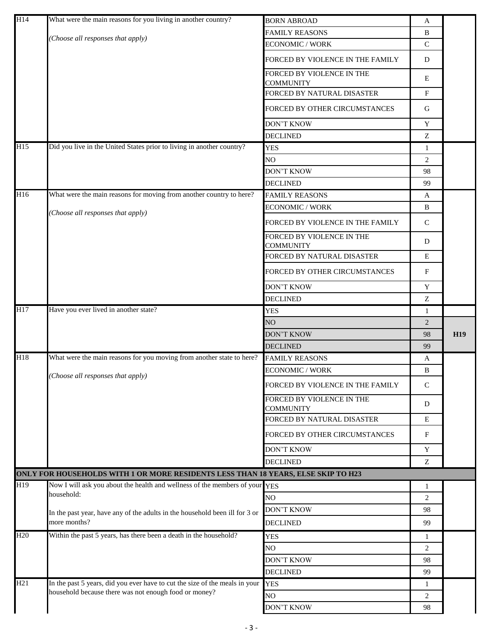| H14                                  | What were the main reasons for you living in another country?                     | <b>BORN ABROAD</b>                            | A              |            |
|--------------------------------------|-----------------------------------------------------------------------------------|-----------------------------------------------|----------------|------------|
|                                      | Choose all responses that apply)                                                  | <b>FAMILY REASONS</b>                         | B              |            |
|                                      |                                                                                   | <b>ECONOMIC / WORK</b>                        | $\mathsf{C}$   |            |
|                                      |                                                                                   | FORCED BY VIOLENCE IN THE FAMILY              | D              |            |
|                                      |                                                                                   | FORCED BY VIOLENCE IN THE<br><b>COMMUNITY</b> | E              |            |
|                                      |                                                                                   | FORCED BY NATURAL DISASTER                    | F              |            |
|                                      |                                                                                   | FORCED BY OTHER CIRCUMSTANCES                 | G              |            |
|                                      |                                                                                   | <b>DON'T KNOW</b>                             | Y              |            |
|                                      |                                                                                   | <b>DECLINED</b>                               | Z              |            |
| H15                                  | Did you live in the United States prior to living in another country?             | <b>YES</b>                                    | $\mathbf{1}$   |            |
|                                      |                                                                                   | N <sub>O</sub>                                | 2              |            |
|                                      |                                                                                   | DON'T KNOW                                    | 98             |            |
|                                      |                                                                                   | <b>DECLINED</b>                               | 99             |            |
| H16                                  | What were the main reasons for moving from another country to here?               | <b>FAMILY REASONS</b>                         | A              |            |
|                                      | Choose all responses that apply)                                                  | <b>ECONOMIC / WORK</b>                        | B              |            |
|                                      |                                                                                   | FORCED BY VIOLENCE IN THE FAMILY              | $\mathbf C$    |            |
|                                      |                                                                                   | FORCED BY VIOLENCE IN THE<br><b>COMMUNITY</b> | D              |            |
|                                      |                                                                                   | FORCED BY NATURAL DISASTER                    | $\mathbf E$    |            |
|                                      |                                                                                   | FORCED BY OTHER CIRCUMSTANCES                 | F              |            |
|                                      |                                                                                   | <b>DON'T KNOW</b>                             | Y              |            |
|                                      |                                                                                   | <b>DECLINED</b>                               | Z              |            |
| H17                                  | Have you ever lived in another state?                                             | <b>YES</b>                                    | 1              |            |
|                                      |                                                                                   | NO                                            | 2              |            |
|                                      |                                                                                   |                                               |                |            |
|                                      |                                                                                   | DON'T KNOW                                    | 98             | <b>H19</b> |
|                                      |                                                                                   | <b>DECLINED</b>                               | 99             |            |
|                                      | What were the main reasons for you moving from another state to here?             | <b>FAMILY REASONS</b>                         | A              |            |
|                                      |                                                                                   | <b>ECONOMIC / WORK</b>                        | B              |            |
|                                      | (Choose all responses that apply)                                                 | FORCED BY VIOLENCE IN THE FAMILY              | $\mathsf{C}$   |            |
|                                      |                                                                                   | FORCED BY VIOLENCE IN THE<br><b>COMMUNITY</b> | D              |            |
|                                      |                                                                                   | FORCED BY NATURAL DISASTER                    | Ε              |            |
|                                      |                                                                                   | FORCED BY OTHER CIRCUMSTANCES                 | F              |            |
|                                      |                                                                                   | <b>DON'T KNOW</b>                             | Y              |            |
|                                      |                                                                                   | <b>DECLINED</b>                               | Z              |            |
|                                      | ONLY FOR HOUSEHOLDS WITH 1 OR MORE RESIDENTS LESS THAN 18 YEARS, ELSE SKIP TO H23 |                                               |                |            |
|                                      | Now I will ask you about the health and wellness of the members of your YES       |                                               | 1              |            |
|                                      | household:                                                                        | N <sub>O</sub>                                | $\overline{2}$ |            |
|                                      | In the past year, have any of the adults in the household been ill for 3 or       | <b>DON'T KNOW</b>                             | 98             |            |
|                                      | more months?                                                                      | <b>DECLINED</b>                               | 99             |            |
|                                      | Within the past 5 years, has there been a death in the household?                 | <b>YES</b>                                    | 1              |            |
|                                      |                                                                                   | NO.                                           | $\overline{c}$ |            |
|                                      |                                                                                   | <b>DON'T KNOW</b>                             | 98             |            |
|                                      |                                                                                   | <b>DECLINED</b>                               | 99             |            |
| H18<br>H19<br>H <sub>20</sub><br>H21 | In the past 5 years, did you ever have to cut the size of the meals in your       | <b>YES</b>                                    | 1              |            |
|                                      | household because there was not enough food or money?                             | NO.<br><b>DON'T KNOW</b>                      | 2<br>98        |            |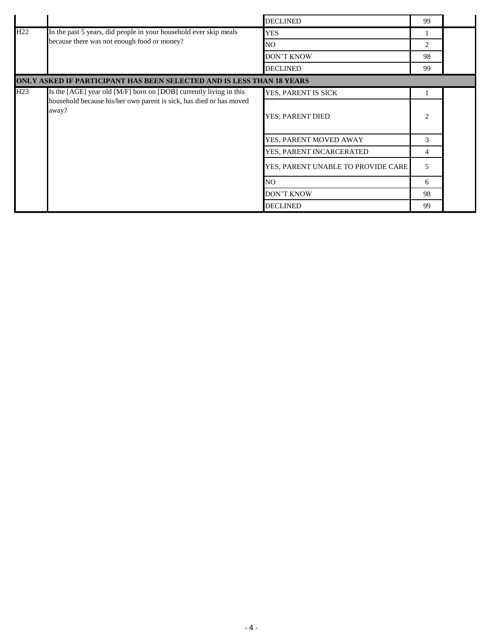|                 |                                                                                                                  | <b>DECLINED</b>                    | 99                            |  |
|-----------------|------------------------------------------------------------------------------------------------------------------|------------------------------------|-------------------------------|--|
| H <sub>22</sub> | In the past 5 years, did people in your household ever skip meals<br>because there was not enough food or money? | <b>YES</b>                         |                               |  |
|                 |                                                                                                                  | NO.                                | $\mathfrak{D}_{\mathfrak{p}}$ |  |
|                 |                                                                                                                  | <b>DON'T KNOW</b>                  | 98                            |  |
|                 |                                                                                                                  | <b>DECLINED</b>                    | 99                            |  |
|                 | ONLY ASKED IF PARTICIPANT HAS BEEN SELECTED AND IS LESS THAN 18 YEARS                                            |                                    |                               |  |
| H23             | Is the [AGE] year old [M/F] born on [DOB] currently living in this                                               | YES, PARENT IS SICK                |                               |  |
|                 | household because his/her own parent is sick, has died or has moved<br>away?                                     | YES, PARENT DIED                   | $\mathfrak{D}$                |  |
|                 |                                                                                                                  | YES, PARENT MOVED AWAY             | 3                             |  |
|                 |                                                                                                                  | YES, PARENT INCARCERATED           | $\overline{4}$                |  |
|                 |                                                                                                                  | YES, PARENT UNABLE TO PROVIDE CARE | 5                             |  |
|                 | NO.                                                                                                              | 6                                  |                               |  |
|                 |                                                                                                                  | DON'T KNOW                         | 98                            |  |
|                 |                                                                                                                  | <b>DECLINED</b>                    | 99                            |  |